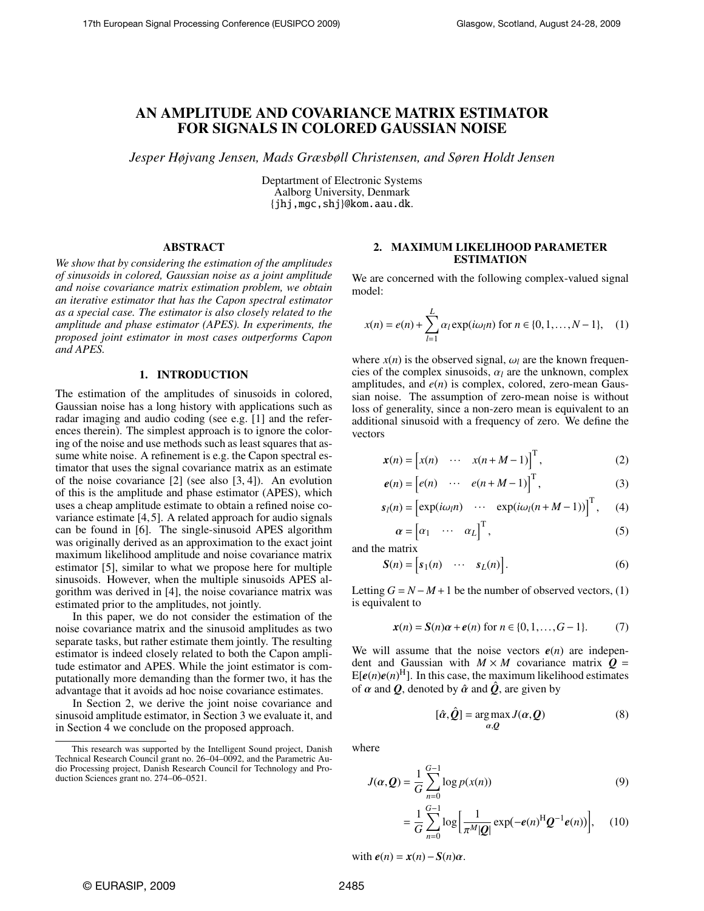# AN AMPLITUDE AND COVARIANCE MATRIX ESTIMATOR FOR SIGNALS IN COLORED GAUSSIAN NOISE

*Jesper Højvang Jensen, Mads Græsbøll Christensen, and Søren Holdt Jensen*

Deptartment of Electronic Systems Aalborg University, Denmark {jhj,mgc,shj}@kom.aau.dk.

# ABSTRACT

*We show that by considering the estimation of the amplitudes of sinusoids in colored, Gaussian noise as a joint amplitude and noise covariance matrix estimation problem, we obtain an iterative estimator that has the Capon spectral estimator as a special case. The estimator is also closely related to the amplitude and phase estimator (APES). In experiments, the proposed joint estimator in most cases outperforms Capon and APES.*

### 1. INTRODUCTION

The estimation of the amplitudes of sinusoids in colored, Gaussian noise has a long history with applications such as radar imaging and audio coding (see e.g. [1] and the references therein). The simplest approach is to ignore the coloring of the noise and use methods such as least squares that assume white noise. A refinement is e.g. the Capon spectral estimator that uses the signal covariance matrix as an estimate of the noise covariance [2] (see also [3, 4]). An evolution of this is the amplitude and phase estimator (APES), which uses a cheap amplitude estimate to obtain a refined noise covariance estimate [4, 5]. A related approach for audio signals can be found in [6]. The single-sinusoid APES algorithm was originally derived as an approximation to the exact joint maximum likelihood amplitude and noise covariance matrix estimator [5], similar to what we propose here for multiple sinusoids. However, when the multiple sinusoids APES algorithm was derived in [4], the noise covariance matrix was estimated prior to the amplitudes, not jointly.

In this paper, we do not consider the estimation of the noise covariance matrix and the sinusoid amplitudes as two separate tasks, but rather estimate them jointly. The resulting estimator is indeed closely related to both the Capon amplitude estimator and APES. While the joint estimator is computationally more demanding than the former two, it has the advantage that it avoids ad hoc noise covariance estimates.

In Section 2, we derive the joint noise covariance and sinusoid amplitude estimator, in Section 3 we evaluate it, and in Section 4 we conclude on the proposed approach.

# 2. MAXIMUM LIKELIHOOD PARAMETER ESTIMATION

We are concerned with the following complex-valued signal model:

$$
x(n) = e(n) + \sum_{l=1}^{L} \alpha_l \exp(i\omega_l n) \text{ for } n \in \{0, 1, ..., N-1\}, \quad (1)
$$

where  $x(n)$  is the observed signal,  $\omega_l$  are the known frequencies of the complex sinusoids,  $\alpha_l$  are the unknown, complex amplitudes, and *e*(*n*) is complex, colored, zero-mean Gaussian noise. The assumption of zero-mean noise is without loss of generality, since a non-zero mean is equivalent to an additional sinusoid with a frequency of zero. We define the vectors

$$
\mathbf{x}(n) = \begin{bmatrix} x(n) & \cdots & x(n+M-1) \end{bmatrix}^{\mathrm{T}},\tag{2}
$$

$$
e(n) = [e(n) \cdots e(n+M-1)]^{T}, \qquad (3)
$$

$$
s_{l}(n) = \left[\exp(i\omega_{l}n) \cdots \exp(i\omega_{l}(n+M-1))\right]^{T}, \quad (4)
$$

$$
\alpha = \left[\alpha_{1} \cdots \alpha_{L}\right]^{T}, \quad (5)
$$

 $(5)$ 

and the matrix

$$
\mathbf{S}(n) = \begin{bmatrix} s_1(n) & \cdots & s_L(n) \end{bmatrix} . \tag{6}
$$

Letting  $G = N - M + 1$  be the number of observed vectors, (1) is equivalent to

$$
\mathbf{x}(n) = \mathbf{S}(n)\alpha + \boldsymbol{e}(n) \text{ for } n \in \{0, 1, \dots, G-1\}. \tag{7}
$$

We will assume that the noise vectors  $e(n)$  are independent and Gaussian with  $M \times M$  covariance matrix  $Q =$  $E[e(n)e(n)^{H}]$ . In this case, the maximum likelihood estimates of  $\alpha$  and  $\hat{Q}$ , denoted by  $\hat{\alpha}$  and  $\hat{Q}$ , are given by

$$
[\hat{\alpha}, \hat{Q}] = \underset{\alpha, Q}{\arg \max} J(\alpha, Q) \tag{8}
$$

where

$$
J(\alpha, Q) = \frac{1}{G} \sum_{n=0}^{G-1} \log p(x(n))
$$
(9)  
1  $\frac{G-1}{G}$ , 1 1 (x)  $\frac{G-1}{G}$  (10)

$$
= \frac{1}{G} \sum_{n=0}^{G-1} \log \left[ \frac{1}{\pi^M |\mathcal{Q}|} \exp(-e(n)^H \mathcal{Q}^{-1} e(n)) \right], \quad (10)
$$

with  $e(n) = x(n) - S(n)\alpha$ .

This research was supported by the Intelligent Sound project, Danish Technical Research Council grant no. 26–04–0092, and the Parametric Audio Processing project, Danish Research Council for Technology and Production Sciences grant no. 274–06–0521.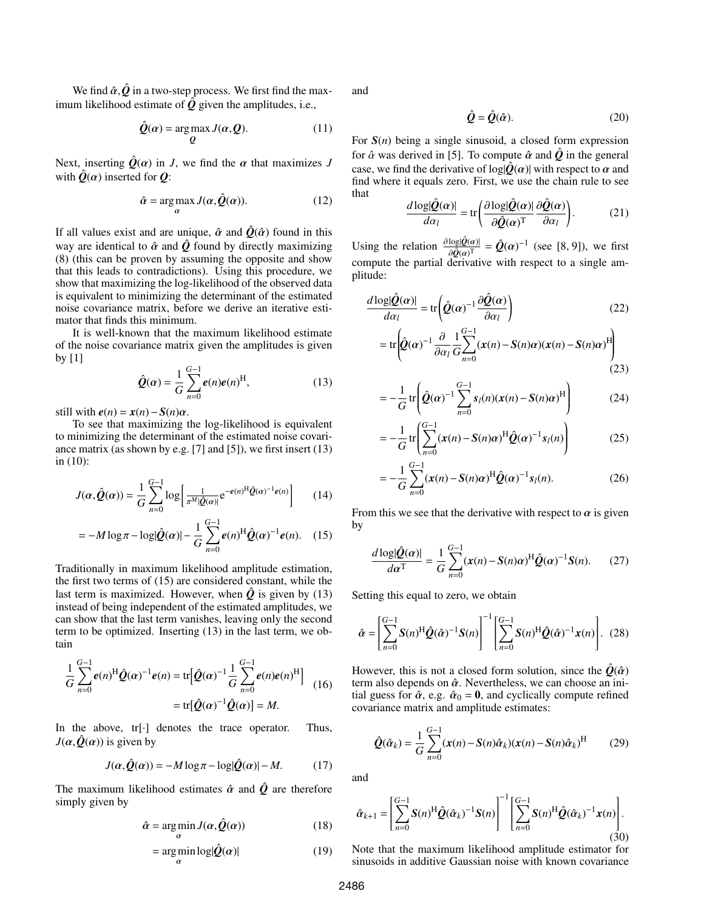We find  $\hat{\alpha}$ ,  $\hat{Q}$  in a two-step process. We first find the maximum likelihood estimate of  $\hat{Q}$  given the amplitudes, i.e.,

$$
\hat{Q}(\alpha) = \underset{Q}{\arg \max} J(\alpha, Q). \tag{11}
$$

Next, inserting  $\hat{Q}(\alpha)$  in *J*, we find the  $\alpha$  that maximizes *J* with  $\hat{Q}(\alpha)$  inserted for  $Q$ :

$$
\hat{\alpha} = \underset{\alpha}{\arg \max} J(\alpha, \hat{Q}(\alpha)). \tag{12}
$$

If all values exist and are unique,  $\hat{\alpha}$  and  $\hat{Q}(\hat{\alpha})$  found in this way are identical to  $\hat{\alpha}$  and  $\hat{\varrho}$  found by directly maximizing (8) (this can be proven by assuming the opposite and show that this leads to contradictions). Using this procedure, we show that maximizing the log-likelihood of the observed data is equivalent to minimizing the determinant of the estimated noise covariance matrix, before we derive an iterative estimator that finds this minimum.

It is well-known that the maximum likelihood estimate of the noise covariance matrix given the amplitudes is given by [1]

$$
\hat{Q}(\alpha) = \frac{1}{G} \sum_{n=0}^{G-1} e(n) e(n)^{\text{H}},
$$
\n(13)

still with  $e(n) = x(n) - S(n)\alpha$ .

To see that maximizing the log-likelihood is equivalent to minimizing the determinant of the estimated noise covariance matrix (as shown by e.g. [7] and [5]), we first insert (13) in (10):

$$
J(\alpha, \hat{\mathcal{Q}}(\alpha)) = \frac{1}{G} \sum_{n=0}^{G-1} \log \left[ \frac{1}{\pi^M |\hat{\mathcal{Q}}(\alpha)|} e^{-e(n)^H \hat{\mathcal{Q}}(\alpha)^{-1} e(n)} \right]
$$
(14)

$$
= -M \log \pi - \log |\hat{Q}(\alpha)| - \frac{1}{G} \sum_{n=0}^{G-1} e(n)^{\text{H}} \hat{Q}(\alpha)^{-1} e(n). \quad (15)
$$

Traditionally in maximum likelihood amplitude estimation, the first two terms of (15) are considered constant, while the last term is maximized. However, when  $\hat{Q}$  is given by (13) instead of being independent of the estimated amplitudes, we can show that the last term vanishes, leaving only the second term to be optimized. Inserting (13) in the last term, we obtain

$$
\frac{1}{G} \sum_{n=0}^{G-1} e(n)^{\text{H}} \hat{Q}(\alpha)^{-1} e(n) = \text{tr} [\hat{Q}(\alpha)^{-1} \frac{1}{G} \sum_{n=0}^{G-1} e(n) e(n)^{\text{H}}] \n= \text{tr} [\hat{Q}(\alpha)^{-1} \hat{Q}(\alpha)] = M.
$$
\n(16)

In the above, tr[·] denotes the trace operator. Thus,  $J(\alpha, \hat{Q}(\alpha))$  is given by

$$
J(\alpha, \hat{Q}(\alpha)) = -M \log \pi - \log |\hat{Q}(\alpha)| - M. \tag{17}
$$

The maximum likelihood estimates  $\hat{\alpha}$  and  $\hat{\beta}$  are therefore simply given by

$$
\hat{\alpha} = \underset{\alpha}{\arg\min} \, J(\alpha, \hat{Q}(\alpha)) \tag{18}
$$

$$
= \underset{\alpha}{\arg\min} \log |\hat{Q}(\alpha)| \tag{19}
$$

and

$$
\hat{\mathbf{Q}} = \hat{\mathbf{Q}}(\hat{\alpha}).\tag{20}
$$

For *S*(*n*) being a single sinusoid, a closed form expression for  $\hat{\alpha}$  was derived in [5]. To compute  $\hat{\alpha}$  and  $\hat{\beta}$  in the general case, we find the derivative of  $log|\hat{Q}(\alpha)|$  with respect to  $\alpha$  and find where it equals zero. First, we use the chain rule to see that

$$
\frac{d \log |\hat{Q}(\alpha)|}{d \alpha_l} = \text{tr}\left(\frac{\partial \log |\hat{Q}(\alpha)|}{\partial \hat{Q}(\alpha)^{\text{T}}} \frac{\partial \hat{Q}(\alpha)}{\partial \alpha_l}\right).
$$
(21)

Using the relation  $\frac{\partial \log|\hat{Q}(\alpha)|}{\partial \hat{Q}(\alpha)\Gamma}$  $rac{\log(Q(\alpha))}{\partial \hat{Q}(\alpha)^T} = \hat{Q}(\alpha)^{-1}$  (see [8, 9]), we first compute the partial derivative with respect to a single amplitude:

$$
\frac{d \log |\hat{Q}(\alpha)|}{d \alpha_l} = \text{tr} \left( \hat{Q}(\alpha)^{-1} \frac{\partial \hat{Q}(\alpha)}{\partial \alpha_l} \right)
$$
(22)

$$
= \text{tr}\left(\hat{\mathbf{Q}}(\alpha)^{-1} \frac{\partial}{\partial \alpha_l} \frac{1}{G} \sum_{n=0}^{G-1} (\mathbf{x}(n) - \mathbf{S}(n)\alpha) (\mathbf{x}(n) - \mathbf{S}(n)\alpha)^{\text{H}}\right)
$$
(23)

$$
= -\frac{1}{G} \text{tr} \left( \hat{\mathbf{Q}}(\alpha)^{-1} \sum_{n=0}^{G-1} s_l(n) (\mathbf{x}(n) - \mathbf{S}(n)\alpha)^{\text{H}} \right) \tag{24}
$$

$$
= -\frac{1}{G} \text{tr} \left( \sum_{n=0}^{G-1} (\boldsymbol{x}(n) - \boldsymbol{S}(n)\boldsymbol{\alpha})^{\text{H}} \hat{\boldsymbol{Q}}(\boldsymbol{\alpha})^{-1} s_{l}(n) \right) \tag{25}
$$

$$
= -\frac{1}{G} \sum_{n=0}^{G-1} (\mathbf{x}(n) - \mathbf{S}(n)\alpha)^{\mathrm{H}} \hat{\mathbf{Q}}(\alpha)^{-1} \mathbf{s}_l(n).
$$
 (26)

From this we see that the derivative with respect to  $\alpha$  is given by

$$
\frac{d\log|\hat{\mathbf{Q}}(\alpha)|}{d\alpha^{\mathrm{T}}} = \frac{1}{G} \sum_{n=0}^{G-1} (\mathbf{x}(n) - \mathbf{S}(n)\alpha)^{\mathrm{H}} \hat{\mathbf{Q}}(\alpha)^{-1} \mathbf{S}(n).
$$
 (27)

Setting this equal to zero, we obtain

$$
\hat{\alpha} = \left[ \sum_{n=0}^{G-1} \mathbf{S}(n)^{\mathrm{H}} \hat{\mathbf{Q}}(\hat{\alpha})^{-1} \mathbf{S}(n) \right]^{-1} \left[ \sum_{n=0}^{G-1} \mathbf{S}(n)^{\mathrm{H}} \hat{\mathbf{Q}}(\hat{\alpha})^{-1} \mathbf{x}(n) \right].
$$
 (28)

However, this is not a closed form solution, since the  $\hat{Q}(\hat{\alpha})$ term also depends on  $\hat{\alpha}$ . Nevertheless, we can choose an initial guess for  $\hat{\alpha}$ , e.g.  $\hat{\alpha}_0 = 0$ , and cyclically compute refined covariance matrix and amplitude estimates:

$$
\hat{\mathbf{Q}}(\hat{\alpha}_k) = \frac{1}{G} \sum_{n=0}^{G-1} (\mathbf{x}(n) - \mathbf{S}(n)\hat{\alpha}_k)(\mathbf{x}(n) - \mathbf{S}(n)\hat{\alpha}_k)^{\mathrm{H}} \tag{29}
$$

and

$$
\hat{\alpha}_{k+1} = \left[ \sum_{n=0}^{G-1} S(n)^{\mathrm{H}} \hat{\mathcal{Q}} (\hat{\alpha}_k)^{-1} S(n) \right]^{-1} \left[ \sum_{n=0}^{G-1} S(n)^{\mathrm{H}} \hat{\mathcal{Q}} (\hat{\alpha}_k)^{-1} \mathbf{x}(n) \right]. \tag{30}
$$

Note that the maximum likelihood amplitude estimator for sinusoids in additive Gaussian noise with known covariance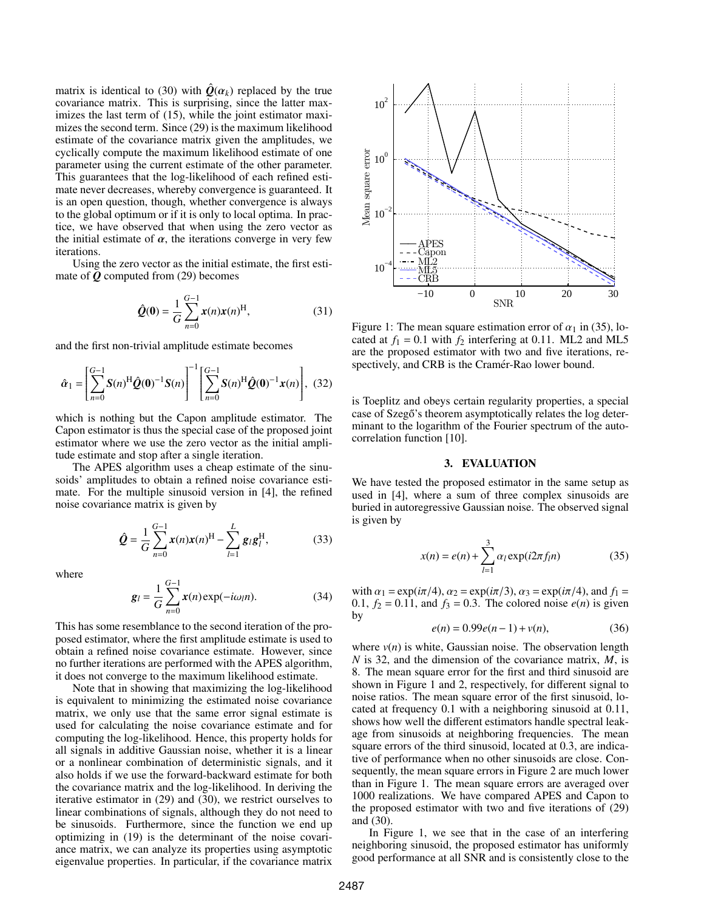matrix is identical to (30) with  $\hat{\theta}(\alpha_k)$  replaced by the true covariance matrix. This is surprising, since the latter maximizes the last term of (15), while the joint estimator maximizes the second term. Since (29) is the maximum likelihood estimate of the covariance matrix given the amplitudes, we cyclically compute the maximum likelihood estimate of one parameter using the current estimate of the other parameter. This guarantees that the log-likelihood of each refined estimate never decreases, whereby convergence is guaranteed. It is an open question, though, whether convergence is always to the global optimum or if it is only to local optima. In practice, we have observed that when using the zero vector as the initial estimate of  $\alpha$ , the iterations converge in very few iterations.

Using the zero vector as the initial estimate, the first estimate of *Q* computed from (29) becomes

$$
\hat{Q}(\mathbf{0}) = \frac{1}{G} \sum_{n=0}^{G-1} \mathbf{x}(n) \mathbf{x}(n)^{\text{H}},
$$
\n(31)

and the first non-trivial amplitude estimate becomes

$$
\hat{\alpha}_1 = \left[\sum_{n=0}^{G-1} S(n)^H \hat{Q}(0)^{-1} S(n)\right]^{-1} \left[\sum_{n=0}^{G-1} S(n)^H \hat{Q}(0)^{-1} \mathbf{x}(n)\right], (32)
$$

which is nothing but the Capon amplitude estimator. The Capon estimator is thus the special case of the proposed joint estimator where we use the zero vector as the initial amplitude estimate and stop after a single iteration.

The APES algorithm uses a cheap estimate of the sinusoids' amplitudes to obtain a refined noise covariance estimate. For the multiple sinusoid version in [4], the refined noise covariance matrix is given by

$$
\hat{Q} = \frac{1}{G} \sum_{n=0}^{G-1} x(n)x(n)^{H} - \sum_{l=1}^{L} g_{l}g_{l}^{H},
$$
(33)

where

$$
g_{l} = \frac{1}{G} \sum_{n=0}^{G-1} x(n) \exp(-i\omega_{l}n).
$$
 (34)

This has some resemblance to the second iteration of the proposed estimator, where the first amplitude estimate is used to obtain a refined noise covariance estimate. However, since no further iterations are performed with the APES algorithm, it does not converge to the maximum likelihood estimate.

Note that in showing that maximizing the log-likelihood is equivalent to minimizing the estimated noise covariance matrix, we only use that the same error signal estimate is used for calculating the noise covariance estimate and for computing the log-likelihood. Hence, this property holds for all signals in additive Gaussian noise, whether it is a linear or a nonlinear combination of deterministic signals, and it also holds if we use the forward-backward estimate for both the covariance matrix and the log-likelihood. In deriving the iterative estimator in (29) and (30), we restrict ourselves to linear combinations of signals, although they do not need to be sinusoids. Furthermore, since the function we end up optimizing in (19) is the determinant of the noise covariance matrix, we can analyze its properties using asymptotic eigenvalue properties. In particular, if the covariance matrix



Figure 1: The mean square estimation error of  $\alpha_1$  in (35), located at  $f_1 = 0.1$  with  $f_2$  interfering at 0.11. ML2 and ML5 are the proposed estimator with two and five iterations, respectively, and CRB is the Cramér-Rao lower bound.

is Toeplitz and obeys certain regularity properties, a special case of Szegő's theorem asymptotically relates the log determinant to the logarithm of the Fourier spectrum of the autocorrelation function [10].

#### 3. EVALUATION

We have tested the proposed estimator in the same setup as used in [4], where a sum of three complex sinusoids are buried in autoregressive Gaussian noise. The observed signal is given by

$$
x(n) = e(n) + \sum_{l=1}^{3} \alpha_l \exp(i2\pi f_l n)
$$
 (35)

with  $\alpha_1 = \exp(i\pi/4)$ ,  $\alpha_2 = \exp(i\pi/3)$ ,  $\alpha_3 = \exp(i\pi/4)$ , and  $f_1 =$ 0.1,  $f_2 = 0.11$ , and  $f_3 = 0.3$ . The colored noise  $e(n)$  is given by

$$
e(n) = 0.99e(n-1) + v(n),
$$
 (36)

where  $v(n)$  is white, Gaussian noise. The observation length *N* is 32, and the dimension of the covariance matrix, *M*, is 8. The mean square error for the first and third sinusoid are shown in Figure 1 and 2, respectively, for different signal to noise ratios. The mean square error of the first sinusoid, located at frequency 0.1 with a neighboring sinusoid at 0.11, shows how well the different estimators handle spectral leakage from sinusoids at neighboring frequencies. The mean square errors of the third sinusoid, located at 0.3, are indicative of performance when no other sinusoids are close. Consequently, the mean square errors in Figure 2 are much lower than in Figure 1. The mean square errors are averaged over 1000 realizations. We have compared APES and Capon to the proposed estimator with two and five iterations of (29) and (30).

In Figure 1, we see that in the case of an interfering neighboring sinusoid, the proposed estimator has uniformly good performance at all SNR and is consistently close to the